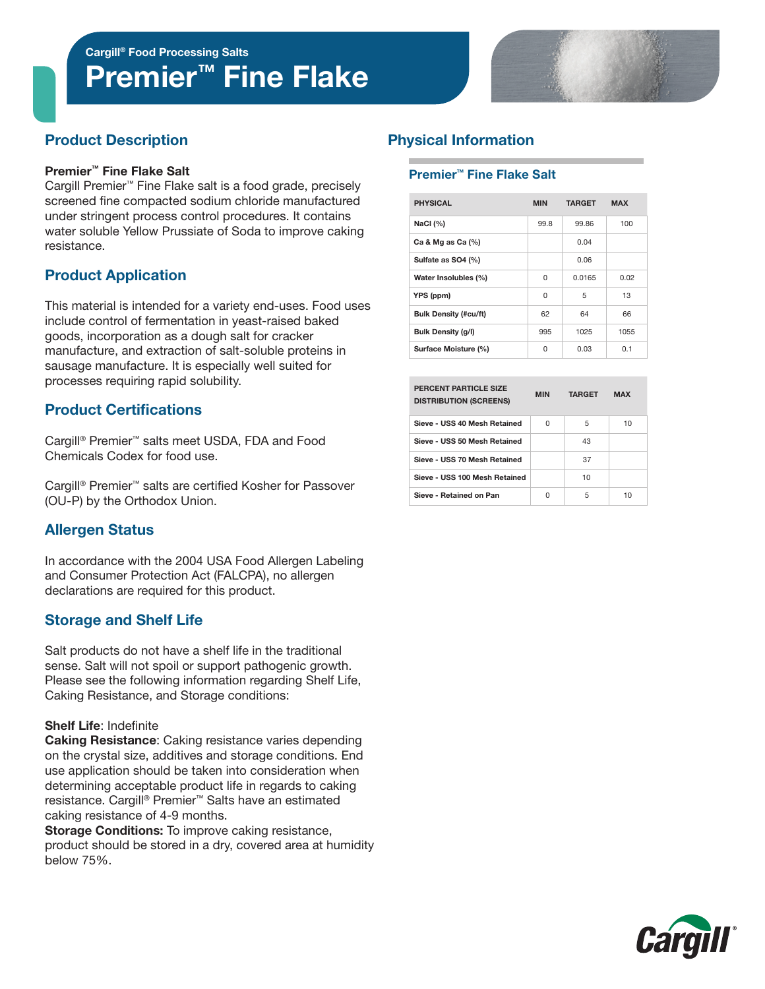Cargill® Food Processing Salts

# Premier<sup>™</sup> Fine Flake



# Product Description

#### Premier™ Fine Flake Salt

Cargill Premier™ Fine Flake salt is a food grade, precisely screened fine compacted sodium chloride manufactured under stringent process control procedures. It contains water soluble Yellow Prussiate of Soda to improve caking resistance.

# Product Application

This material is intended for a variety end-uses. Food uses include control of fermentation in yeast-raised baked goods, incorporation as a dough salt for cracker manufacture, and extraction of salt-soluble proteins in sausage manufacture. It is especially well suited for processes requiring rapid solubility.

## Product Certifications

Cargill® Premier™ salts meet USDA, FDA and Food Chemicals Codex for food use.

Cargill® Premier™ salts are certified Kosher for Passover (OU-P) by the Orthodox Union.

# Allergen Status

In accordance with the 2004 USA Food Allergen Labeling and Consumer Protection Act (FALCPA), no allergen declarations are required for this product.

### Storage and Shelf Life

Salt products do not have a shelf life in the traditional sense. Salt will not spoil or support pathogenic growth. Please see the following information regarding Shelf Life, Caking Resistance, and Storage conditions:

#### Shelf Life: Indefinite

Caking Resistance: Caking resistance varies depending on the crystal size, additives and storage conditions. End use application should be taken into consideration when determining acceptable product life in regards to caking resistance. Cargill® Premier™ Salts have an estimated caking resistance of 4-9 months.

**Storage Conditions:** To improve caking resistance, product should be stored in a dry, covered area at humidity below 75%.

# Physical Information

#### Premier™ Fine Flake Salt

| <b>PHYSICAL</b>              | <b>MIN</b> | <b>TARGET</b> | <b>MAX</b> |  |
|------------------------------|------------|---------------|------------|--|
| NaCl $(%)$                   | 99.8       | 99.86         | 100        |  |
| Ca & Mg as Ca $(%)$          |            | 0.04          |            |  |
| Sulfate as SO4 (%)           |            | 0.06          |            |  |
| Water Insolubles (%)         | $\Omega$   | 0.0165        | 0.02       |  |
| YPS (ppm)                    | $\Omega$   | 5             | 13         |  |
| <b>Bulk Density (#cu/ft)</b> | 62         | 64            | 66         |  |
| <b>Bulk Density (g/l)</b>    | 995        | 1025          | 1055       |  |
| Surface Moisture (%)         | 0          | 0.03          | 0.1        |  |

| PERCENT PARTICLE SIZE<br><b>DISTRIBUTION (SCREENS)</b> | <b>MIN</b> | <b>TARGET</b> | <b>MAX</b> |
|--------------------------------------------------------|------------|---------------|------------|
| Sieve - USS 40 Mesh Retained                           | U          | 5             | 10         |
| Sieve - USS 50 Mesh Retained                           |            | 43            |            |
| Sieve - USS 70 Mesh Retained                           |            | 37            |            |
| Sieve - USS 100 Mesh Retained                          |            | 10            |            |
| Sieve - Retained on Pan                                | U          | 5             | 10         |